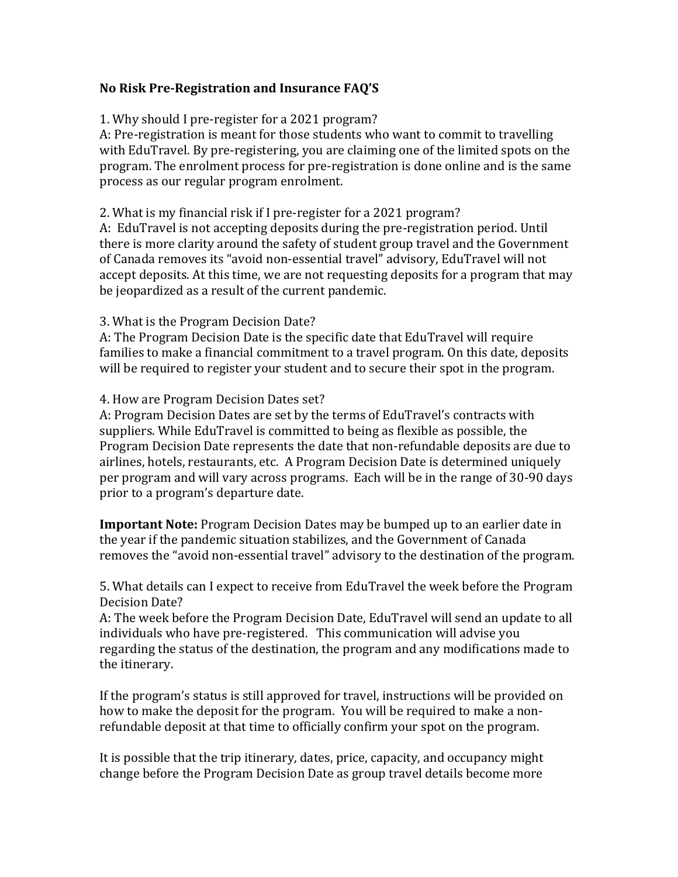# **No Risk Pre-Registration and Insurance FAQ'S**

# 1. Why should I pre-register for a 2021 program?

A: Pre-registration is meant for those students who want to commit to travelling with EduTravel. By pre-registering, you are claiming one of the limited spots on the program. The enrolment process for pre-registration is done online and is the same process as our regular program enrolment.

# 2. What is my financial risk if I pre-register for a 2021 program?

A: EduTravel is not accepting deposits during the pre-registration period. Until there is more clarity around the safety of student group travel and the Government of Canada removes its "avoid non-essential travel" advisory, EduTravel will not accept deposits. At this time, we are not requesting deposits for a program that may be jeopardized as a result of the current pandemic.

### 3. What is the Program Decision Date?

A: The Program Decision Date is the specific date that EduTravel will require families to make a financial commitment to a travel program. On this date, deposits will be required to register your student and to secure their spot in the program.

#### 4. How are Program Decision Dates set?

A: Program Decision Dates are set by the terms of EduTravel's contracts with suppliers. While EduTravel is committed to being as flexible as possible, the Program Decision Date represents the date that non-refundable deposits are due to airlines, hotels, restaurants, etc. A Program Decision Date is determined uniquely per program and will vary across programs. Each will be in the range of 30-90 days prior to a program's departure date.

**Important Note:** Program Decision Dates may be bumped up to an earlier date in the year if the pandemic situation stabilizes, and the Government of Canada removes the "avoid non-essential travel" advisory to the destination of the program.

5. What details can I expect to receive from EduTravel the week before the Program Decision Date?

A: The week before the Program Decision Date, EduTravel will send an update to all individuals who have pre-registered. This communication will advise you regarding the status of the destination, the program and any modifications made to the itinerary.

If the program's status is still approved for travel, instructions will be provided on how to make the deposit for the program. You will be required to make a nonrefundable deposit at that time to officially confirm your spot on the program.

It is possible that the trip itinerary, dates, price, capacity, and occupancy might change before the Program Decision Date as group travel details become more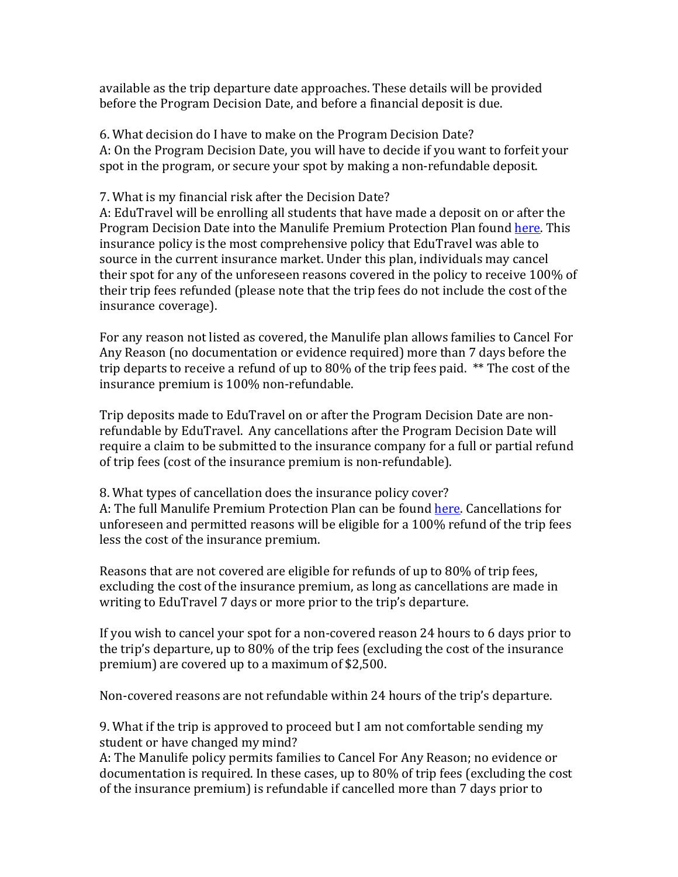available as the trip departure date approaches. These details will be provided before the Program Decision Date, and before a financial deposit is due.

6. What decision do I have to make on the Program Decision Date? A: On the Program Decision Date, you will have to decide if you want to forfeit your spot in the program, or secure your spot by making a non-refundable deposit.

# 7. What is my financial risk after the Decision Date?

A: EduTravel will be enrolling all students that have made a deposit on or after the Program Decision Date into the Manulife Premium Protection Plan found here. This insurance policy is the most comprehensive policy that EduTravel was able to source in the current insurance market. Under this plan, individuals may cancel their spot for any of the unforeseen reasons covered in the policy to receive  $100\%$  of their trip fees refunded (please note that the trip fees do not include the cost of the insurance coverage).

For any reason not listed as covered, the Manulife plan allows families to Cancel For Any Reason (no documentation or evidence required) more than 7 days before the trip departs to receive a refund of up to 80% of the trip fees paid.  $**$  The cost of the insurance premium is 100% non-refundable.

Trip deposits made to EduTravel on or after the Program Decision Date are nonrefundable by EduTravel. Any cancellations after the Program Decision Date will require a claim to be submitted to the insurance company for a full or partial refund of trip fees (cost of the insurance premium is non-refundable).

8. What types of cancellation does the insurance policy cover? A: The full Manulife Premium Protection Plan can be found here. Cancellations for unforeseen and permitted reasons will be eligible for a 100% refund of the trip fees less the cost of the insurance premium.

Reasons that are not covered are eligible for refunds of up to 80% of trip fees, excluding the cost of the insurance premium, as long as cancellations are made in writing to EduTravel 7 days or more prior to the trip's departure.

If you wish to cancel your spot for a non-covered reason 24 hours to 6 days prior to the trip's departure, up to 80% of the trip fees (excluding the cost of the insurance premium) are covered up to a maximum of \$2,500.

Non-covered reasons are not refundable within 24 hours of the trip's departure.

9. What if the trip is approved to proceed but I am not comfortable sending my student or have changed my mind?

A: The Manulife policy permits families to Cancel For Any Reason; no evidence or documentation is required. In these cases, up to 80% of trip fees (excluding the cost of the insurance premium) is refundable if cancelled more than 7 days prior to